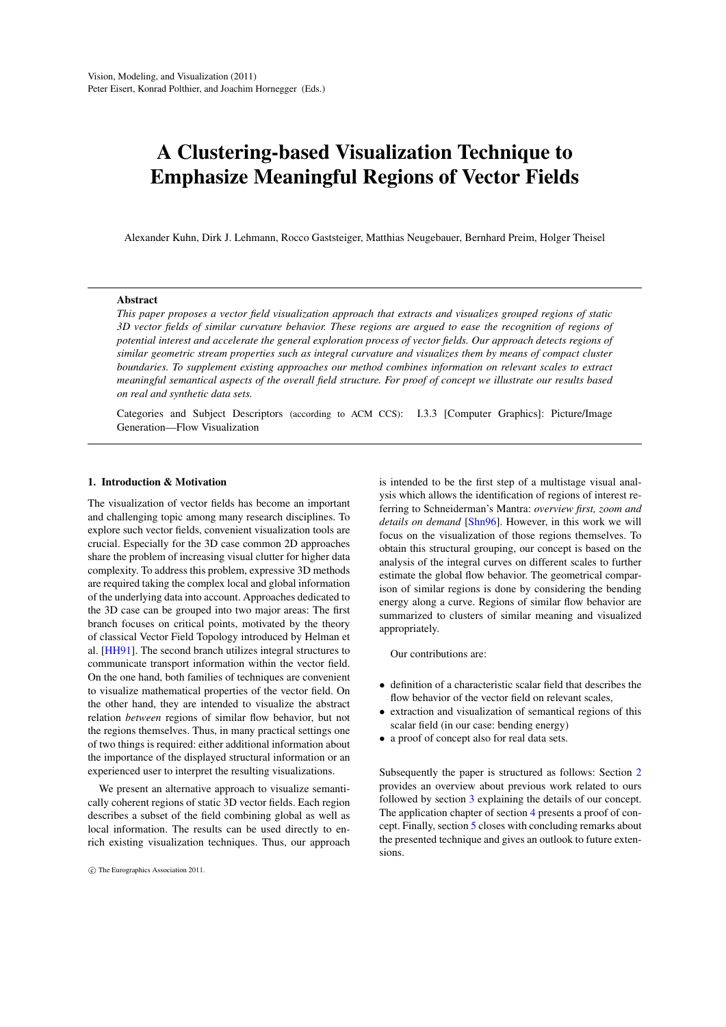# A Clustering-based Visualization Technique to Emphasize Meaningful Regions of Vector Fields

Alexander Kuhn, Dirk J. Lehmann, Rocco Gaststeiger, Matthias Neugebauer, Bernhard Preim, Holger Theisel

#### Abstract

*This paper proposes a vector field visualization approach that extracts and visualizes grouped regions of static 3D vector fields of similar curvature behavior. These regions are argued to ease the recognition of regions of potential interest and accelerate the general exploration process of vector fields. Our approach detects regions of similar geometric stream properties such as integral curvature and visualizes them by means of compact cluster boundaries. To supplement existing approaches our method combines information on relevant scales to extract meaningful semantical aspects of the overall field structure. For proof of concept we illustrate our results based on real and synthetic data sets.*

Categories and Subject Descriptors (according to ACM CCS): I.3.3 [Computer Graphics]: Picture/Image Generation—Flow Visualization

#### 1. Introduction & Motivation

The visualization of vector fields has become an important and challenging topic among many research disciplines. To explore such vector fields, convenient visualization tools are crucial. Especially for the 3D case common 2D approaches share the problem of increasing visual clutter for higher data complexity. To address this problem, expressive 3D methods are required taking the complex local and global information of the underlying data into account. Approaches dedicated to the 3D case can be grouped into two major areas: The first branch focuses on critical points, motivated by the theory of classical Vector Field Topology introduced by Helman et al. [HH91]. The second branch utilizes integral structures to communicate transport information within the vector field. On the one hand, both families of techniques are convenient to visualize mathematical properties of the vector field. On the other hand, they are intended to visualize the abstract relation *between* regions of similar flow behavior, but not the regions themselves. Thus, in many practical settings one of two things is required: either additional information about the importance of the displayed structural information or an experienced user to interpret the resulting visualizations.

We present an alternative approach to visualize semantically coherent regions of static 3D vector fields. Each region describes a subset of the field combining global as well as local information. The results can be used directly to enrich existing visualization techniques. Thus, our approach is intended to be the first step of a multistage visual analysis which allows the identification of regions of interest referring to Schneiderman's Mantra: *overview first, zoom and details on demand* [Shn96]. However, in this work we will focus on the visualization of those regions themselves. To obtain this structural grouping, our concept is based on the analysis of the integral curves on different scales to further estimate the global flow behavior. The geometrical comparison of similar regions is done by considering the bending energy along a curve. Regions of similar flow behavior are summarized to clusters of similar meaning and visualized appropriately.

Our contributions are:

- *•* definition of a characteristic scalar field that describes the flow behavior of the vector field on relevant scales,
- *•* extraction and visualization of semantical regions of this scalar field (in our case: bending energy)
- *•* a proof of concept also for real data sets.

Subsequently the paper is structured as follows: Section 2 provides an overview about previous work related to ours followed by section 3 explaining the details of our concept. The application chapter of section 4 presents a proof of concept. Finally, section 5 closes with concluding remarks about the presented technique and gives an outlook to future extensions.

 $\circ$ <sup>c</sup>) The Eurographics Association 2011.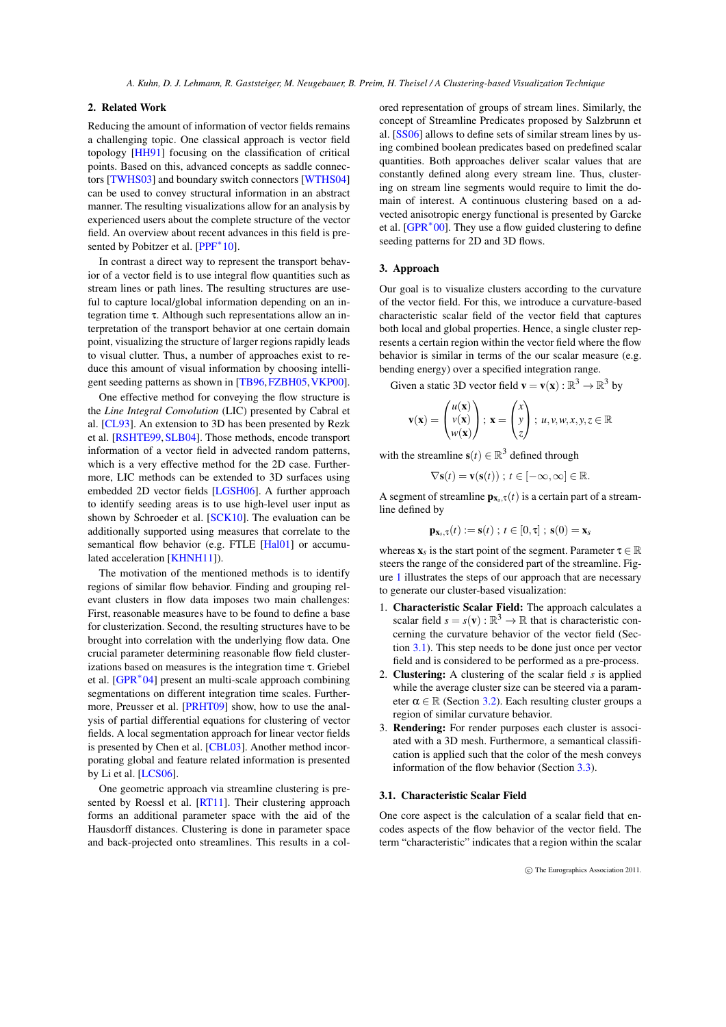*A. Kuhn, D. J. Lehmann, R. Gaststeiger, M. Neugebauer, B. Preim, H. Theisel / A Clustering-based Visualization Technique*

# 2. Related Work

Reducing the amount of information of vector fields remains a challenging topic. One classical approach is vector field topology [HH91] focusing on the classification of critical points. Based on this, advanced concepts as saddle connectors [TWHS03] and boundary switch connectors [WTHS04] can be used to convey structural information in an abstract manner. The resulting visualizations allow for an analysis by experienced users about the complete structure of the vector field. An overview about recent advances in this field is presented by Pobitzer et al. [PPF*∗* 10].

In contrast a direct way to represent the transport behavior of a vector field is to use integral flow quantities such as stream lines or path lines. The resulting structures are useful to capture local/global information depending on an integration time τ. Although such representations allow an interpretation of the transport behavior at one certain domain point, visualizing the structure of larger regions rapidly leads to visual clutter. Thus, a number of approaches exist to reduce this amount of visual information by choosing intelligent seeding patterns as shown in [TB96,FZBH05,VKP00].

One effective method for conveying the flow structure is the *Line Integral Convolution* (LIC) presented by Cabral et al. [CL93]. An extension to 3D has been presented by Rezk et al. [RSHTE99,SLB04]. Those methods, encode transport information of a vector field in advected random patterns, which is a very effective method for the 2D case. Furthermore, LIC methods can be extended to 3D surfaces using embedded 2D vector fields [LGSH06]. A further approach to identify seeding areas is to use high-level user input as shown by Schroeder et al. [SCK10]. The evaluation can be additionally supported using measures that correlate to the semantical flow behavior (e.g. FTLE [Hal01] or accumulated acceleration [KHNH11]).

The motivation of the mentioned methods is to identify regions of similar flow behavior. Finding and grouping relevant clusters in flow data imposes two main challenges: First, reasonable measures have to be found to define a base for clusterization. Second, the resulting structures have to be brought into correlation with the underlying flow data. One crucial parameter determining reasonable flow field clusterizations based on measures is the integration time τ. Griebel et al. [GPR*∗* 04] present an multi-scale approach combining segmentations on different integration time scales. Furthermore, Preusser et al. [PRHT09] show, how to use the analysis of partial differential equations for clustering of vector fields. A local segmentation approach for linear vector fields is presented by Chen et al. [CBL03]. Another method incorporating global and feature related information is presented by Li et al. [LCS06].

One geometric approach via streamline clustering is presented by Roessl et al. [RT11]. Their clustering approach forms an additional parameter space with the aid of the Hausdorff distances. Clustering is done in parameter space and back-projected onto streamlines. This results in a colored representation of groups of stream lines. Similarly, the concept of Streamline Predicates proposed by Salzbrunn et al. [SS06] allows to define sets of similar stream lines by using combined boolean predicates based on predefined scalar quantities. Both approaches deliver scalar values that are constantly defined along every stream line. Thus, clustering on stream line segments would require to limit the domain of interest. A continuous clustering based on a advected anisotropic energy functional is presented by Garcke et al. [GPR*∗* 00]. They use a flow guided clustering to define seeding patterns for 2D and 3D flows.

#### 3. Approach

Our goal is to visualize clusters according to the curvature of the vector field. For this, we introduce a curvature-based characteristic scalar field of the vector field that captures both local and global properties. Hence, a single cluster represents a certain region within the vector field where the flow behavior is similar in terms of the our scalar measure (e.g. bending energy) over a specified integration range.

Given a static 3D vector field  $\mathbf{v} = \mathbf{v}(\mathbf{x}) : \mathbb{R}^3 \to \mathbb{R}^3$  by

$$
\mathbf{v}(\mathbf{x}) = \begin{pmatrix} u(\mathbf{x}) \\ v(\mathbf{x}) \\ w(\mathbf{x}) \end{pmatrix}; \ \mathbf{x} = \begin{pmatrix} x \\ y \\ z \end{pmatrix}; \ u, v, w, x, y, z \in \mathbb{R}
$$

with the streamline  $\mathbf{s}(t) \in \mathbb{R}^3$  defined through

$$
\nabla \mathbf{s}(t) = \mathbf{v}(\mathbf{s}(t)) \; ; \; t \in [-\infty, \infty] \in \mathbb{R}.
$$

A segment of streamline  $\mathbf{p}_{\mathbf{x}_s,\tau}(t)$  is a certain part of a streamline defined by

$$
\mathbf{p}_{\mathbf{x}_s,\tau}(t) := \mathbf{s}(t) \; ; \; t \in [0,\tau] \; ; \; \mathbf{s}(0) = \mathbf{x}_s
$$

whereas  $\mathbf{x}_s$  is the start point of the segment. Parameter  $\tau \in \mathbb{R}$ steers the range of the considered part of the streamline. Figure 1 illustrates the steps of our approach that are necessary to generate our cluster-based visualization:

- 1. Characteristic Scalar Field: The approach calculates a scalar field  $s = s(v) : \mathbb{R}^3 \to \mathbb{R}$  that is characteristic concerning the curvature behavior of the vector field (Section 3.1). This step needs to be done just once per vector field and is considered to be performed as a pre-process.
- 2. Clustering: A clustering of the scalar field *s* is applied while the average cluster size can be steered via a parameter  $\alpha \in \mathbb{R}$  (Section 3.2). Each resulting cluster groups a region of similar curvature behavior.
- 3. Rendering: For render purposes each cluster is associated with a 3D mesh. Furthermore, a semantical classification is applied such that the color of the mesh conveys information of the flow behavior (Section 3.3).

# 3.1. Characteristic Scalar Field

One core aspect is the calculation of a scalar field that encodes aspects of the flow behavior of the vector field. The term "characteristic" indicates that a region within the scalar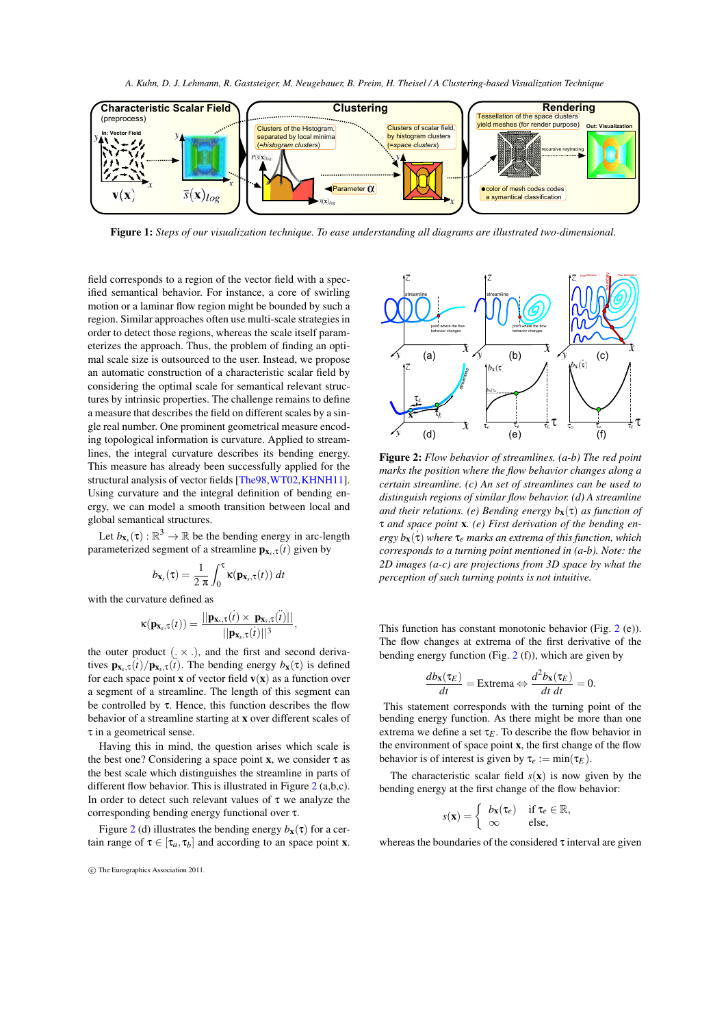*A. Kuhn, D. J. Lehmann, R. Gaststeiger, M. Neugebauer, B. Preim, H. Theisel / A Clustering-based Visualization Technique*



Figure 1: *Steps of our visualization technique. To ease understanding all diagrams are illustrated two-dimensional.*

field corresponds to a region of the vector field with a specified semantical behavior. For instance, a core of swirling motion or a laminar flow region might be bounded by such a region. Similar approaches often use multi-scale strategies in order to detect those regions, whereas the scale itself parameterizes the approach. Thus, the problem of finding an optimal scale size is outsourced to the user. Instead, we propose an automatic construction of a characteristic scalar field by considering the optimal scale for semantical relevant structures by intrinsic properties. The challenge remains to define a measure that describes the field on different scales by a single real number. One prominent geometrical measure encoding topological information is curvature. Applied to streamlines, the integral curvature describes its bending energy. This measure has already been successfully applied for the structural analysis of vector fields [The98,WT02,KHNH11]. Using curvature and the integral definition of bending energy, we can model a smooth transition between local and global semantical structures.

Let  $b_{\mathbf{x}_s}(\tau) : \mathbb{R}^3 \to \mathbb{R}$  be the bending energy in arc-length parameterized segment of a streamline  $\mathbf{p}_{\mathbf{x}_s,\tau}(t)$  given by

$$
b_{\mathbf{x}_s}(\tau) = \frac{1}{2 \pi} \int_0^{\tau} \kappa(\mathbf{p}_{\mathbf{x}_s,\tau}(t)) dt
$$

with the curvature defined as

$$
\kappa(\mathbf{p}_{\mathbf{x}_s,\tau}(t)) = \frac{||\mathbf{p}_{\mathbf{x}_s,\tau}(t) \times \mathbf{p}_{\mathbf{x}_s,\tau}(\tilde{t})||}{||\mathbf{p}_{\mathbf{x}_s,\tau}(t)||^3},
$$

the outer product  $(X, X)$ , and the first and second derivatives  $\mathbf{p}_{\mathbf{x}_s,\tau}(t)/\mathbf{p}_{\mathbf{x}_s,\tau}(t)$ . The bending energy  $b_{\mathbf{x}}(\tau)$  is defined for each space point **x** of vector field  $\mathbf{v}(\mathbf{x})$  as a function over a segment of a streamline. The length of this segment can be controlled by  $\tau$ . Hence, this function describes the flow behavior of a streamline starting at x over different scales of τ in a geometrical sense.

Having this in mind, the question arises which scale is the best one? Considering a space point **x**, we consider  $\tau$  as the best scale which distinguishes the streamline in parts of different flow behavior. This is illustrated in Figure 2 (a,b,c). In order to detect such relevant values of  $\tau$  we analyze the corresponding bending energy functional over τ.

Figure 2 (d) illustrates the bending energy  $b_x(\tau)$  for a certain range of  $\tau \in [\tau_a, \tau_b]$  and according to an space point **x**.



Figure 2: *Flow behavior of streamlines. (a-b) The red point marks the position where the flow behavior changes along a certain streamline. (c) An set of streamlines can be used to distinguish regions of similar flow behavior. (d) A streamline and their relations. (e) Bending energy b*x(τ) *as function of* τ *and space point* x*. (e) First derivation of the bending energy b*x ˙ (τ) *where* τ*e marks an extrema of this function, which corresponds to a turning point mentioned in (a-b). Note: the 2D images (a-c) are projections from 3D space by what the perception of such turning points is not intuitive.*

This function has constant monotonic behavior (Fig. 2 (e)). The flow changes at extrema of the first derivative of the bending energy function (Fig. 2 (f)), which are given by

$$
\frac{db_{\mathbf{x}}(\tau_E)}{dt} = \text{Extrema} \Leftrightarrow \frac{d^2b_{\mathbf{x}}(\tau_E)}{dt dt} = 0.
$$

This statement corresponds with the turning point of the bending energy function. As there might be more than one extrema we define a set  $\tau_E$ . To describe the flow behavior in the environment of space point x, the first change of the flow behavior is of interest is given by  $\tau_e := \min(\tau_E)$ .

The characteristic scalar field  $s(x)$  is now given by the bending energy at the first change of the flow behavior:

$$
s(\mathbf{x}) = \begin{cases} b_{\mathbf{x}}(\tau_e) & \text{if } \tau_e \in \mathbb{R}, \\ \infty & \text{else,} \end{cases}
$$

whereas the boundaries of the considered  $\tau$  interval are given

*<sup>⃝</sup>*c The Eurographics Association 2011.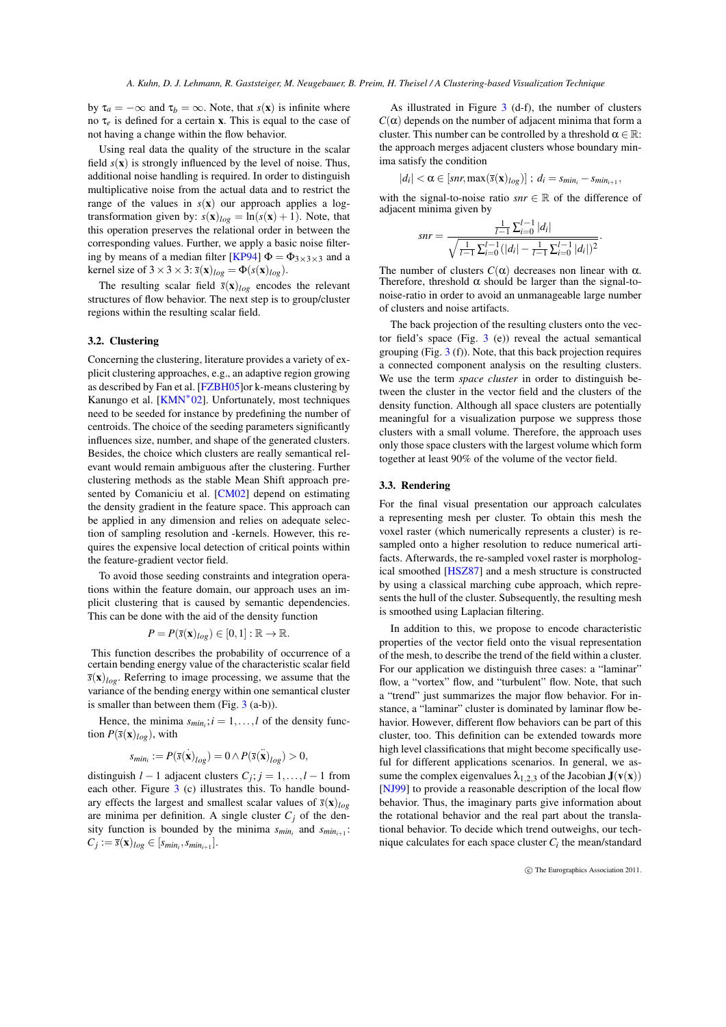by  $\tau_a = -\infty$  and  $\tau_b = \infty$ . Note, that *s*(**x**) is infinite where no τ*e* is defined for a certain x. This is equal to the case of not having a change within the flow behavior.

Using real data the quality of the structure in the scalar field  $s(\mathbf{x})$  is strongly influenced by the level of noise. Thus, additional noise handling is required. In order to distinguish multiplicative noise from the actual data and to restrict the range of the values in  $s(x)$  our approach applies a logtransformation given by:  $s(\mathbf{x})_{log} = \ln(s(\mathbf{x}) + 1)$ . Note, that this operation preserves the relational order in between the corresponding values. Further, we apply a basic noise filtering by means of a median filter [KP94]  $\Phi = \Phi_{3 \times 3 \times 3}$  and a kernel size of  $3 \times 3 \times 3$ :  $\bar{s}(\mathbf{x})_{log} = \Phi(s(\mathbf{x})_{log})$ .

The resulting scalar field  $\bar{s}(\mathbf{x})_{log}$  encodes the relevant structures of flow behavior. The next step is to group/cluster regions within the resulting scalar field.

# 3.2. Clustering

Concerning the clustering, literature provides a variety of explicit clustering approaches, e.g., an adaptive region growing as described by Fan et al. [FZBH05]or k-means clustering by Kanungo et al. [KMN*∗* 02]. Unfortunately, most techniques need to be seeded for instance by predefining the number of centroids. The choice of the seeding parameters significantly influences size, number, and shape of the generated clusters. Besides, the choice which clusters are really semantical relevant would remain ambiguous after the clustering. Further clustering methods as the stable Mean Shift approach presented by Comaniciu et al. [CM02] depend on estimating the density gradient in the feature space. This approach can be applied in any dimension and relies on adequate selection of sampling resolution and -kernels. However, this requires the expensive local detection of critical points within the feature-gradient vector field.

To avoid those seeding constraints and integration operations within the feature domain, our approach uses an implicit clustering that is caused by semantic dependencies. This can be done with the aid of the density function

$$
P = P(\bar{s}(\mathbf{x})_{log}) \in [0,1] : \mathbb{R} \to \mathbb{R}.
$$

This function describes the probability of occurrence of a certain bending energy value of the characteristic scalar field  $\bar{s}(\mathbf{x})_{log}$ . Referring to image processing, we assume that the variance of the bending energy within one semantical cluster is smaller than between them (Fig. 3 (a-b)).

Hence, the minima  $s_{min_i}$ ;  $i = 1, ..., l$  of the density function  $P(\bar{s}(\mathbf{x})_{log})$ , with

$$
s_{min_i} := P(\bar{s}(\mathbf{x})_{log}) = 0 \wedge P(\bar{s}(\mathbf{x})_{log}) > 0,
$$

distinguish  $l - 1$  adjacent clusters  $C_j$ ;  $j = 1, ..., l - 1$  from each other. Figure 3 (c) illustrates this. To handle boundary effects the largest and smallest scalar values of  $\bar{s}(\mathbf{x})_{log}$ are minima per definition. A single cluster  $C_j$  of the density function is bounded by the minima  $s_{min_i}$  and  $s_{min_{i+1}}$ :  $C_j := \bar{s}(\mathbf{x})_{log} \in [s_{min_i}, s_{min_{i+1}}].$ 

As illustrated in Figure 3 (d-f), the number of clusters  $C(\alpha)$  depends on the number of adjacent minima that form a cluster. This number can be controlled by a threshold  $\alpha \in \mathbb{R}$ : the approach merges adjacent clusters whose boundary minima satisfy the condition

$$
|d_i| < \alpha \in [snr, \max(\bar{s}(\mathbf{x})_{log})]; d_i = s_{min_i} - s_{min_{i+1}},
$$

with the signal-to-noise ratio *snr*  $\in \mathbb{R}$  of the difference of adjacent minima given by

$$
snr = \frac{\frac{1}{l-1} \sum_{i=0}^{l-1} |d_i|}{\sqrt{\frac{1}{l-1} \sum_{i=0}^{l-1} (|d_i| - \frac{1}{l-1} \sum_{i=0}^{l-1} |d_i|)^2}}
$$

*.*

The number of clusters  $C(\alpha)$  decreases non linear with  $\alpha$ . Therefore, threshold  $\alpha$  should be larger than the signal-tonoise-ratio in order to avoid an unmanageable large number of clusters and noise artifacts.

The back projection of the resulting clusters onto the vector field's space (Fig. 3 (e)) reveal the actual semantical grouping (Fig. 3 (f)). Note, that this back projection requires a connected component analysis on the resulting clusters. We use the term *space cluster* in order to distinguish between the cluster in the vector field and the clusters of the density function. Although all space clusters are potentially meaningful for a visualization purpose we suppress those clusters with a small volume. Therefore, the approach uses only those space clusters with the largest volume which form together at least 90% of the volume of the vector field.

# 3.3. Rendering

For the final visual presentation our approach calculates a representing mesh per cluster. To obtain this mesh the voxel raster (which numerically represents a cluster) is resampled onto a higher resolution to reduce numerical artifacts. Afterwards, the re-sampled voxel raster is morphological smoothed [HSZ87] and a mesh structure is constructed by using a classical marching cube approach, which represents the hull of the cluster. Subsequently, the resulting mesh is smoothed using Laplacian filtering.

In addition to this, we propose to encode characteristic properties of the vector field onto the visual representation of the mesh, to describe the trend of the field within a cluster. For our application we distinguish three cases: a "laminar" flow, a "vortex" flow, and "turbulent" flow. Note, that such a "trend" just summarizes the major flow behavior. For instance, a "laminar" cluster is dominated by laminar flow behavior. However, different flow behaviors can be part of this cluster, too. This definition can be extended towards more high level classifications that might become specifically useful for different applications scenarios. In general, we assume the complex eigenvalues  $\lambda_{1,2,3}$  of the Jacobian  $J(v(x))$ [NJ99] to provide a reasonable description of the local flow behavior. Thus, the imaginary parts give information about the rotational behavior and the real part about the translational behavior. To decide which trend outweighs, our technique calculates for each space cluster  $C_i$  the mean/standard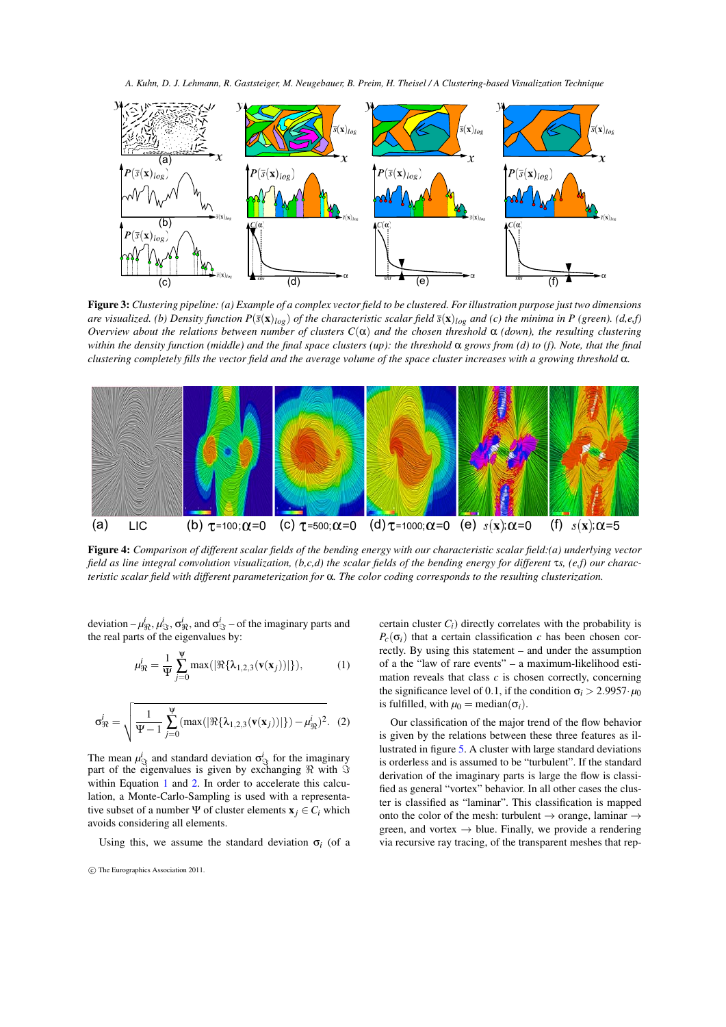*A. Kuhn, D. J. Lehmann, R. Gaststeiger, M. Neugebauer, B. Preim, H. Theisel / A Clustering-based Visualization Technique*



Figure 3: *Clustering pipeline: (a) Example of a complex vector field to be clustered. For illustration purpose just two dimensions are visualized. (b) Density function*  $P(\bar{s}(x)|_{\rho\rho})$  *of the characteristic scalar field*  $\bar{s}(x)|_{\rho\rho}$  *and (c) the minima in P (green). (d,e,f) Overview about the relations between number of clusters*  $C(α)$  *and the chosen threshold*  $α$  *(down), the resulting clustering within the density function (middle) and the final space clusters (up): the threshold* α *grows from (d) to (f). Note, that the final clustering completely fills the vector field and the average volume of the space cluster increases with a growing threshold* α*.*



Figure 4: *Comparison of different scalar fields of the bending energy with our characteristic scalar field:(a) underlying vector field as line integral convolution visualization, (b,c,d) the scalar fields of the bending energy for different* τ*s, (e,f) our characteristic scalar field with different parameterization for* α*. The color coding corresponds to the resulting clusterization.*

deviation  $-\mu_{\Re}^i$ ,  $\mu_{\Im}^i$ ,  $\sigma_{\Re}^i$ , and  $\sigma_{\Im}^i$  – of the imaginary parts and the real parts of the eigenvalues by:

$$
\mu_{\Re}^j = \frac{1}{\Psi} \sum_{j=0}^{\Psi} \max(|\Re{\{\lambda_{1,2,3}(\mathbf{v}(\mathbf{x}_j))}|\}),\tag{1}
$$

$$
\sigma_{\Re}^{i} = \sqrt{\frac{1}{\Psi - 1} \sum_{j=0}^{\Psi} (\max(|\Re{\{\lambda_{1,2,3}(\mathbf{v}(\mathbf{x}_{j}))}|\}) - \mu_{\Re}^{i})^{2}}.
$$
 (2)

The mean  $\mu_{\mathcal{S}}^i$  and standard deviation  $\sigma_{\mathcal{S}}^i$  for the imaginary part of the eigenvalues is given by exchanging *ℜ* with *ℑ* within Equation 1 and 2. In order to accelerate this calculation, a Monte-Carlo-Sampling is used with a representative subset of a number  $\Psi$  of cluster elements  $\mathbf{x}_i \in C_i$  which avoids considering all elements.

Using this, we assume the standard deviation  $\sigma_i$  (of a

certain cluster  $C_i$ ) directly correlates with the probability is  $P_c(\sigma_i)$  that a certain classification *c* has been chosen correctly. By using this statement – and under the assumption of a the "law of rare events" – a maximum-likelihood estimation reveals that class *c* is chosen correctly, concerning the significance level of 0.1, if the condition  $\sigma_i > 2.9957 \cdot \mu_0$ is fulfilled, with  $\mu_0$  = median( $\sigma_i$ ).

Our classification of the major trend of the flow behavior is given by the relations between these three features as illustrated in figure 5. A cluster with large standard deviations is orderless and is assumed to be "turbulent". If the standard derivation of the imaginary parts is large the flow is classified as general "vortex" behavior. In all other cases the cluster is classified as "laminar". This classification is mapped onto the color of the mesh: turbulent *→* orange, laminar *→* green, and vortex  $\rightarrow$  blue. Finally, we provide a rendering via recursive ray tracing, of the transparent meshes that rep-

 $\circ$ <sup>c</sup>) The Eurographics Association 2011.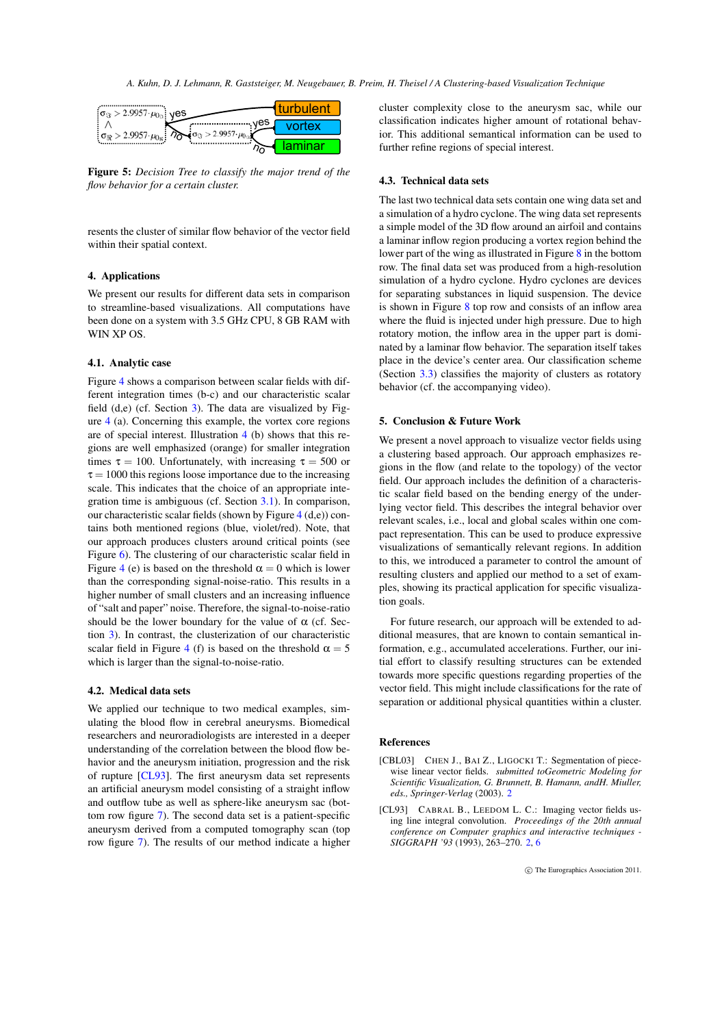*A. Kuhn, D. J. Lehmann, R. Gaststeiger, M. Neugebauer, B. Preim, H. Theisel / A Clustering-based Visualization Technique*



Figure 5: *Decision Tree to classify the major trend of the flow behavior for a certain cluster.*

resents the cluster of similar flow behavior of the vector field within their spatial context.

## 4. Applications

We present our results for different data sets in comparison to streamline-based visualizations. All computations have been done on a system with 3.5 GHz CPU, 8 GB RAM with WIN XP OS.

#### 4.1. Analytic case

Figure 4 shows a comparison between scalar fields with different integration times (b-c) and our characteristic scalar field (d,e) (cf. Section 3). The data are visualized by Figure 4 (a). Concerning this example, the vortex core regions are of special interest. Illustration 4 (b) shows that this regions are well emphasized (orange) for smaller integration times  $\tau = 100$ . Unfortunately, with increasing  $\tau = 500$  or  $\tau = 1000$  this regions loose importance due to the increasing scale. This indicates that the choice of an appropriate integration time is ambiguous (cf. Section 3.1). In comparison, our characteristic scalar fields (shown by Figure 4 (d,e)) contains both mentioned regions (blue, violet/red). Note, that our approach produces clusters around critical points (see Figure 6). The clustering of our characteristic scalar field in Figure 4 (e) is based on the threshold  $\alpha = 0$  which is lower than the corresponding signal-noise-ratio. This results in a higher number of small clusters and an increasing influence of "salt and paper" noise. Therefore, the signal-to-noise-ratio should be the lower boundary for the value of  $\alpha$  (cf. Section 3). In contrast, the clusterization of our characteristic scalar field in Figure 4 (f) is based on the threshold  $\alpha = 5$ which is larger than the signal-to-noise-ratio.

#### 4.2. Medical data sets

We applied our technique to two medical examples, simulating the blood flow in cerebral aneurysms. Biomedical researchers and neuroradiologists are interested in a deeper understanding of the correlation between the blood flow behavior and the aneurysm initiation, progression and the risk of rupture [CL93]. The first aneurysm data set represents an artificial aneurysm model consisting of a straight inflow and outflow tube as well as sphere-like aneurysm sac (bottom row figure 7). The second data set is a patient-specific aneurysm derived from a computed tomography scan (top row figure 7). The results of our method indicate a higher cluster complexity close to the aneurysm sac, while our classification indicates higher amount of rotational behavior. This additional semantical information can be used to further refine regions of special interest.

# 4.3. Technical data sets

The last two technical data sets contain one wing data set and a simulation of a hydro cyclone. The wing data set represents a simple model of the 3D flow around an airfoil and contains a laminar inflow region producing a vortex region behind the lower part of the wing as illustrated in Figure 8 in the bottom row. The final data set was produced from a high-resolution simulation of a hydro cyclone. Hydro cyclones are devices for separating substances in liquid suspension. The device is shown in Figure 8 top row and consists of an inflow area where the fluid is injected under high pressure. Due to high rotatory motion, the inflow area in the upper part is dominated by a laminar flow behavior. The separation itself takes place in the device's center area. Our classification scheme (Section 3.3) classifies the majority of clusters as rotatory behavior (cf. the accompanying video).

### 5. Conclusion & Future Work

We present a novel approach to visualize vector fields using a clustering based approach. Our approach emphasizes regions in the flow (and relate to the topology) of the vector field. Our approach includes the definition of a characteristic scalar field based on the bending energy of the underlying vector field. This describes the integral behavior over relevant scales, i.e., local and global scales within one compact representation. This can be used to produce expressive visualizations of semantically relevant regions. In addition to this, we introduced a parameter to control the amount of resulting clusters and applied our method to a set of examples, showing its practical application for specific visualization goals.

For future research, our approach will be extended to additional measures, that are known to contain semantical information, e.g., accumulated accelerations. Further, our initial effort to classify resulting structures can be extended towards more specific questions regarding properties of the vector field. This might include classifications for the rate of separation or additional physical quantities within a cluster.

#### References

- [CBL03] CHEN J., BAI Z., LIGOCKI T.: Segmentation of piecewise linear vector fields. *submitted toGeometric Modeling for Scientific Visualization, G. Brunnett, B. Hamann, andH. Miuller, eds., Springer-Verlag* (2003). 2
- [CL93] CABRAL B., LEEDOM L. C.: Imaging vector fields using line integral convolution. *Proceedings of the 20th annual conference on Computer graphics and interactive techniques - SIGGRAPH '93* (1993), 263–270. 2, 6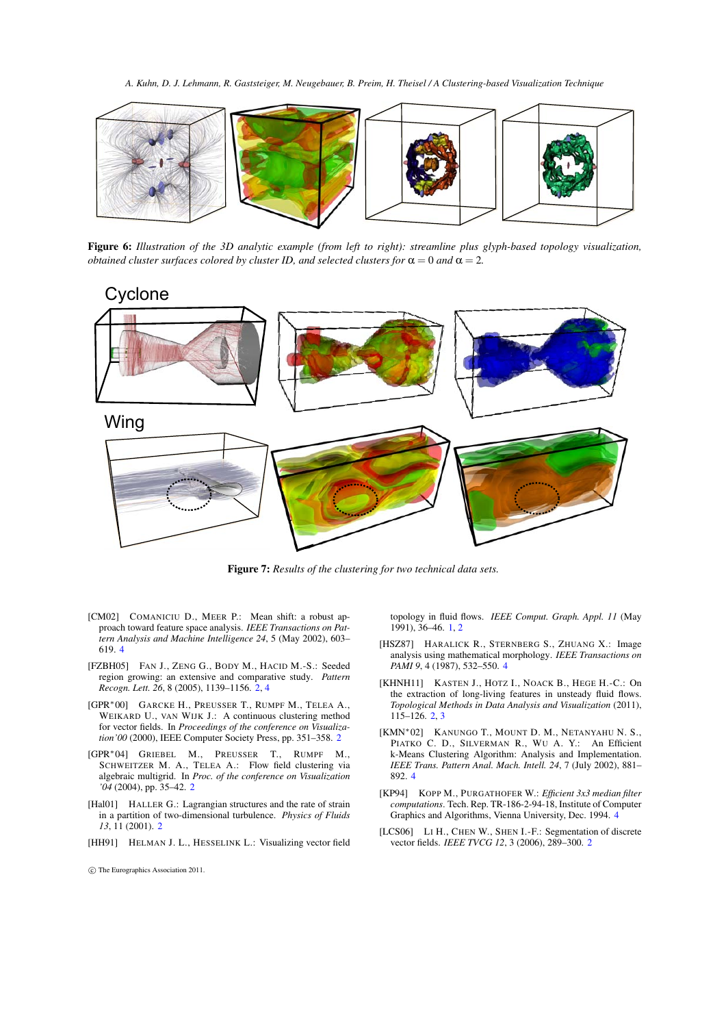*A. Kuhn, D. J. Lehmann, R. Gaststeiger, M. Neugebauer, B. Preim, H. Theisel / A Clustering-based Visualization Technique*



Figure 6: *Illustration of the 3D analytic example (from left to right): streamline plus glyph-based topology visualization, obtained cluster surfaces colored by cluster ID, and selected clusters for*  $\alpha = 0$  *and*  $\alpha = 2$ *.* 

# Cyclone



Figure 7: *Results of the clustering for two technical data sets.*

- [CM02] COMANICIU D., MEER P.: Mean shift: a robust approach toward feature space analysis. *IEEE Transactions on Pattern Analysis and Machine Intelligence 24*, 5 (May 2002), 603– 619. 4
- [FZBH05] FAN J., ZENG G., BODY M., HACID M.-S.: Seeded region growing: an extensive and comparative study. *Pattern Recogn. Lett. 26*, 8 (2005), 1139–1156. 2, 4
- [GPR*∗*00] GARCKE H., PREUSSER T., RUMPF M., TELEA A., WEIKARD U., VAN WIJK J.: A continuous clustering method for vector fields. In *Proceedings of the conference on Visualization'00* (2000), IEEE Computer Society Press, pp. 351–358. 2
- [GPR*∗*04] GRIEBEL M., PREUSSER T., RUMPF M., SCHWEITZER M. A., TELEA A.: Flow field clustering via algebraic multigrid. In *Proc. of the conference on Visualization '04* (2004), pp. 35–42. 2
- [Hal01] HALLER G.: Lagrangian structures and the rate of strain in a partition of two-dimensional turbulence. *Physics of Fluids 13*, 11 (2001). 2
- [HH91] HELMAN J. L., HESSELINK L.: Visualizing vector field

*⃝*c The Eurographics Association 2011.

topology in fluid flows. *IEEE Comput. Graph. Appl. 11* (May 1991), 36–46. 1, 2

- [HSZ87] HARALICK R., STERNBERG S., ZHUANG X.: Image analysis using mathematical morphology. *IEEE Transactions on PAMI 9*, 4 (1987), 532–550. 4
- [KHNH11] KASTEN J., HOTZ I., NOACK B., HEGE H.-C.: On the extraction of long-living features in unsteady fluid flows. *Topological Methods in Data Analysis and Visualization* (2011),  $115 - 126.23$
- [KMN*∗*02] KANUNGO T., MOUNT D. M., NETANYAHU N. S., PIATKO C. D., SILVERMAN R., WU A. Y.: An Efficient k-Means Clustering Algorithm: Analysis and Implementation. *IEEE Trans. Pattern Anal. Mach. Intell. 24*, 7 (July 2002), 881– 892. 4
- [KP94] KOPP M., PURGATHOFER W.: *Efficient 3x3 median filter computations*. Tech. Rep. TR-186-2-94-18, Institute of Computer Graphics and Algorithms, Vienna University, Dec. 1994. 4
- [LCS06] LI H., CHEN W., SHEN I.-F.: Segmentation of discrete vector fields. *IEEE TVCG 12*, 3 (2006), 289–300. 2